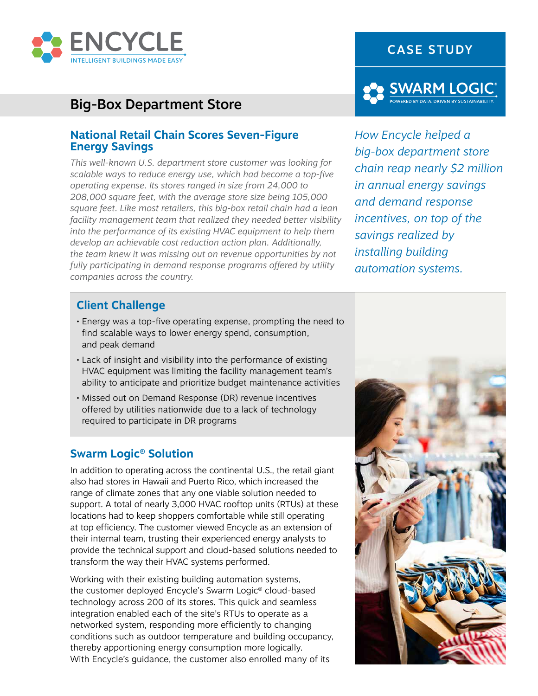

# Big-Box Department Store

#### **National Retail Chain Scores Seven-Figure Energy Savings**

*This well-known U.S. department store customer was looking for scalable ways to reduce energy use, which had become a top-five operating expense. Its stores ranged in size from 24,000 to 208,000 square feet, with the average store size being 105,000 square feet. Like most retailers, this big-box retail chain had a lean facility management team that realized they needed better visibility into the performance of its existing HVAC equipment to help them develop an achievable cost reduction action plan. Additionally, the team knew it was missing out on revenue opportunities by not fully participating in demand response programs offered by utility companies across the country.*

## CASE STUDY



*How Encycle helped a big-box department store chain reap nearly \$2 million in annual energy savings and demand response incentives, on top of the savings realized by installing building automation systems.*

## **Client Challenge**

- Energy was a top-five operating expense, prompting the need to find scalable ways to lower energy spend, consumption, and peak demand
- Lack of insight and visibility into the performance of existing HVAC equipment was limiting the facility management team's ability to anticipate and prioritize budget maintenance activities
- Missed out on Demand Response (DR) revenue incentives offered by utilities nationwide due to a lack of technology required to participate in DR programs

#### **Swarm Logic® Solution**

In addition to operating across the continental U.S., the retail giant also had stores in Hawaii and Puerto Rico, which increased the range of climate zones that any one viable solution needed to support. A total of nearly 3,000 HVAC rooftop units (RTUs) at these locations had to keep shoppers comfortable while still operating at top efficiency. The customer viewed Encycle as an extension of their internal team, trusting their experienced energy analysts to provide the technical support and cloud-based solutions needed to transform the way their HVAC systems performed.

Working with their existing building automation systems, the customer deployed Encycle's Swarm Logic® cloud-based technology across 200 of its stores. This quick and seamless integration enabled each of the site's RTUs to operate as a networked system, responding more efficiently to changing conditions such as outdoor temperature and building occupancy, thereby apportioning energy consumption more logically. With Encycle's guidance, the customer also enrolled many of its